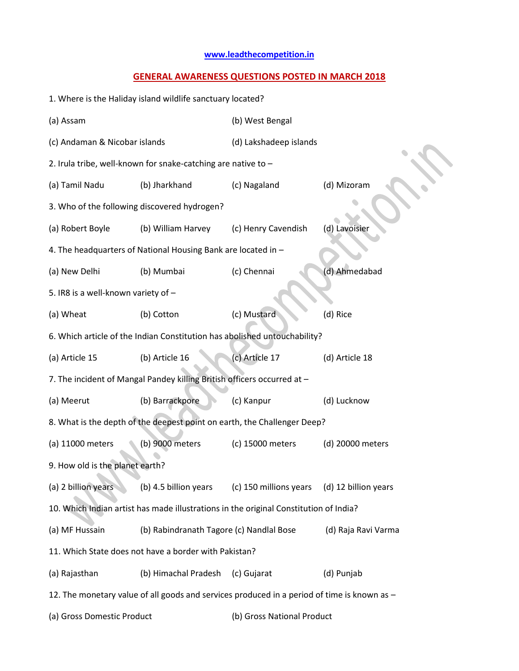## **[www.leadthecompetition.in](http://www.leadthecompetition.in/)**

## **GENERAL AWARENESS QUESTIONS POSTED IN MARCH 2018**

| 1. Where is the Haliday island wildlife sanctuary located? |                                                                         |                                                                                             |                      |  |  |  |
|------------------------------------------------------------|-------------------------------------------------------------------------|---------------------------------------------------------------------------------------------|----------------------|--|--|--|
| (a) Assam                                                  |                                                                         | (b) West Bengal                                                                             |                      |  |  |  |
| (c) Andaman & Nicobar islands                              |                                                                         | (d) Lakshadeep islands                                                                      |                      |  |  |  |
|                                                            | 2. Irula tribe, well-known for snake-catching are native to -           |                                                                                             |                      |  |  |  |
| (a) Tamil Nadu                                             | (b) Jharkhand                                                           | (c) Nagaland                                                                                | (d) Mizoram          |  |  |  |
|                                                            | 3. Who of the following discovered hydrogen?                            |                                                                                             |                      |  |  |  |
| (a) Robert Boyle                                           | (b) William Harvey                                                      | (c) Henry Cavendish                                                                         | (d) Lavoisier        |  |  |  |
|                                                            | 4. The headquarters of National Housing Bank are located in -           |                                                                                             |                      |  |  |  |
| (a) New Delhi                                              | (b) Mumbai                                                              | (c) Chennai                                                                                 | (d) Ahmedabad        |  |  |  |
| 5. IR8 is a well-known variety of -                        |                                                                         |                                                                                             |                      |  |  |  |
| (a) Wheat                                                  | (b) Cotton                                                              | (c) Mustard                                                                                 | (d) Rice             |  |  |  |
|                                                            |                                                                         | 6. Which article of the Indian Constitution has abolished untouchability?                   |                      |  |  |  |
| (a) Article 15                                             | (b) Article 16                                                          | (c) Article 17                                                                              | (d) Article 18       |  |  |  |
|                                                            | 7. The incident of Mangal Pandey killing British officers occurred at - |                                                                                             |                      |  |  |  |
| (a) Meerut                                                 | (b) Barrackpore                                                         | (c) Kanpur                                                                                  | (d) Lucknow          |  |  |  |
|                                                            |                                                                         | 8. What is the depth of the deepest point on earth, the Challenger Deep?                    |                      |  |  |  |
| (a) 11000 meters                                           | (b) 9000 meters                                                         | (c) 15000 meters                                                                            | (d) 20000 meters     |  |  |  |
| 9. How old is the planet earth?                            |                                                                         |                                                                                             |                      |  |  |  |
| (a) 2 billion years                                        | (b) 4.5 billion years                                                   | (c) 150 millions years                                                                      | (d) 12 billion years |  |  |  |
|                                                            |                                                                         | 10. Which Indian artist has made illustrations in the original Constitution of India?       |                      |  |  |  |
| (a) MF Hussain                                             | (b) Rabindranath Tagore (c) Nandlal Bose                                |                                                                                             | (d) Raja Ravi Varma  |  |  |  |
|                                                            | 11. Which State does not have a border with Pakistan?                   |                                                                                             |                      |  |  |  |
| (a) Rajasthan                                              | (b) Himachal Pradesh                                                    | (c) Gujarat                                                                                 | (d) Punjab           |  |  |  |
|                                                            |                                                                         | 12. The monetary value of all goods and services produced in a period of time is known as - |                      |  |  |  |
| (a) Gross Domestic Product                                 |                                                                         | (b) Gross National Product                                                                  |                      |  |  |  |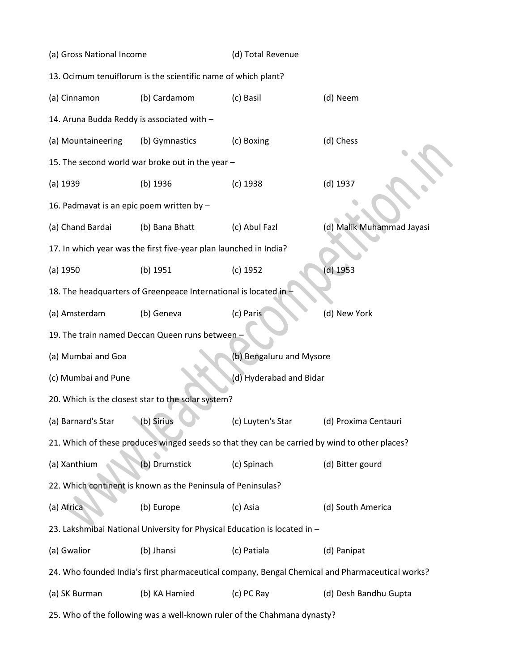| (a) Gross National Income                                                |                                                                           | (d) Total Revenue                                                                             |                                                                                                 |  |  |  |  |
|--------------------------------------------------------------------------|---------------------------------------------------------------------------|-----------------------------------------------------------------------------------------------|-------------------------------------------------------------------------------------------------|--|--|--|--|
| 13. Ocimum tenuiflorum is the scientific name of which plant?            |                                                                           |                                                                                               |                                                                                                 |  |  |  |  |
| (a) Cinnamon                                                             | (b) Cardamom                                                              | (c) Basil                                                                                     | (d) Neem                                                                                        |  |  |  |  |
| 14. Aruna Budda Reddy is associated with -                               |                                                                           |                                                                                               |                                                                                                 |  |  |  |  |
| (a) Mountaineering                                                       | (b) Gymnastics                                                            | (c) Boxing                                                                                    | (d) Chess                                                                                       |  |  |  |  |
|                                                                          | 15. The second world war broke out in the year -                          |                                                                                               |                                                                                                 |  |  |  |  |
| $(a)$ 1939                                                               | $(b)$ 1936                                                                | $(c)$ 1938                                                                                    | (d) 1937                                                                                        |  |  |  |  |
| 16. Padmavat is an epic poem written by -                                |                                                                           |                                                                                               |                                                                                                 |  |  |  |  |
| (a) Chand Bardai                                                         | (b) Bana Bhatt                                                            | (c) Abul Fazl                                                                                 | (d) Malik Muhammad Jayasi                                                                       |  |  |  |  |
|                                                                          | 17. In which year was the first five-year plan launched in India?         |                                                                                               |                                                                                                 |  |  |  |  |
| $(a)$ 1950                                                               | (b) 1951                                                                  | $(c)$ 1952                                                                                    | $(d)$ 1953                                                                                      |  |  |  |  |
|                                                                          | 18. The headquarters of Greenpeace International is located in-           |                                                                                               |                                                                                                 |  |  |  |  |
| (a) Amsterdam                                                            | (b) Geneva                                                                | (c) Paris                                                                                     | (d) New York                                                                                    |  |  |  |  |
|                                                                          | 19. The train named Deccan Queen runs between -                           |                                                                                               |                                                                                                 |  |  |  |  |
| (a) Mumbai and Goa                                                       |                                                                           | (b) Bengaluru and Mysore                                                                      |                                                                                                 |  |  |  |  |
| (c) Mumbai and Pune                                                      |                                                                           | (d) Hyderabad and Bidar                                                                       |                                                                                                 |  |  |  |  |
|                                                                          | 20. Which is the closest star to the solar system?                        |                                                                                               |                                                                                                 |  |  |  |  |
| (a) Barnard's Star                                                       | (b) Sirius                                                                | (c) Luyten's Star                                                                             | (d) Proxima Centauri                                                                            |  |  |  |  |
|                                                                          |                                                                           | 21. Which of these produces winged seeds so that they can be carried by wind to other places? |                                                                                                 |  |  |  |  |
| (a) Xanthium                                                             | (b) Drumstick                                                             | (c) Spinach                                                                                   | (d) Bitter gourd                                                                                |  |  |  |  |
|                                                                          | 22. Which continent is known as the Peninsula of Peninsulas?              |                                                                                               |                                                                                                 |  |  |  |  |
| (a) Africa                                                               | (b) Europe                                                                | (c) Asia                                                                                      | (d) South America                                                                               |  |  |  |  |
|                                                                          | 23. Lakshmibai National University for Physical Education is located in - |                                                                                               |                                                                                                 |  |  |  |  |
| (a) Gwalior                                                              | (b) Jhansi                                                                | (c) Patiala                                                                                   | (d) Panipat                                                                                     |  |  |  |  |
|                                                                          |                                                                           |                                                                                               | 24. Who founded India's first pharmaceutical company, Bengal Chemical and Pharmaceutical works? |  |  |  |  |
| (a) SK Burman                                                            | (b) KA Hamied                                                             | (c) PC Ray                                                                                    | (d) Desh Bandhu Gupta                                                                           |  |  |  |  |
| 25. Who of the following was a well-known ruler of the Chahmana dynasty? |                                                                           |                                                                                               |                                                                                                 |  |  |  |  |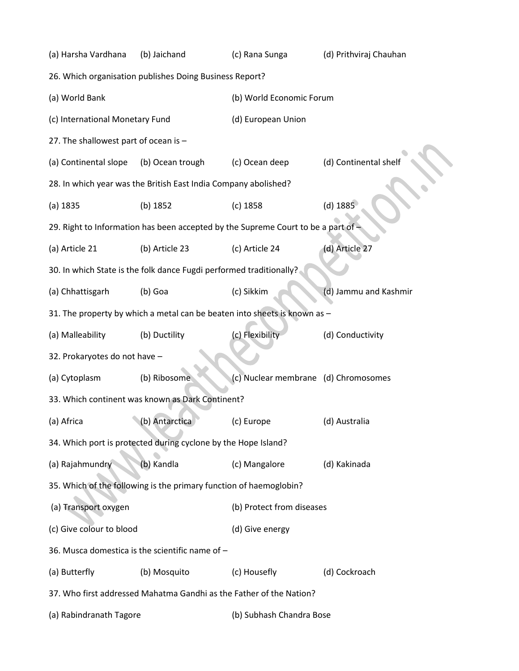| (a) Harsha Vardhana                   | (b) Jaichand                                                        | (c) Rana Sunga                                                                  | (d) Prithviraj Chauhan |  |  |
|---------------------------------------|---------------------------------------------------------------------|---------------------------------------------------------------------------------|------------------------|--|--|
|                                       | 26. Which organisation publishes Doing Business Report?             |                                                                                 |                        |  |  |
| (a) World Bank                        |                                                                     | (b) World Economic Forum                                                        |                        |  |  |
| (c) International Monetary Fund       |                                                                     | (d) European Union                                                              |                        |  |  |
| 27. The shallowest part of ocean is - |                                                                     |                                                                                 |                        |  |  |
| (a) Continental slope                 | (b) Ocean trough                                                    | (c) Ocean deep                                                                  | (d) Continental shelf  |  |  |
|                                       | 28. In which year was the British East India Company abolished?     |                                                                                 |                        |  |  |
| (a) 1835                              | (b) 1852                                                            | $(c)$ 1858                                                                      | $(d)$ 1885             |  |  |
|                                       |                                                                     | 29. Right to Information has been accepted by the Supreme Court to be a part of |                        |  |  |
| (a) Article 21                        | (b) Article 23                                                      | (c) Article 24                                                                  | (d) Article 27         |  |  |
|                                       | 30. In which State is the folk dance Fugdi performed traditionally? |                                                                                 |                        |  |  |
| (a) Chhattisgarh                      | (b) Goa                                                             | (c) Sikkim                                                                      | (d) Jammu and Kashmir  |  |  |
|                                       |                                                                     | 31. The property by which a metal can be beaten into sheets is known as -       |                        |  |  |
| (a) Malleability                      | (b) Ductility                                                       | (c) Flexibility                                                                 | (d) Conductivity       |  |  |
| 32. Prokaryotes do not have -         |                                                                     |                                                                                 |                        |  |  |
| (a) Cytoplasm                         | (b) Ribosome                                                        | (c) Nuclear membrane (d) Chromosomes                                            |                        |  |  |
|                                       | 33. Which continent was known as Dark Continent?                    |                                                                                 |                        |  |  |
| (a) Africa                            | (b) Antarctica                                                      | (c) Europe                                                                      | (d) Australia          |  |  |
|                                       | 34. Which port is protected during cyclone by the Hope Island?      |                                                                                 |                        |  |  |
| (a) Rajahmundry                       | (b) Kandla                                                          | (c) Mangalore                                                                   | (d) Kakinada           |  |  |
|                                       | 35. Which of the following is the primary function of haemoglobin?  |                                                                                 |                        |  |  |
| (a) Transport oxygen                  |                                                                     | (b) Protect from diseases                                                       |                        |  |  |
| (c) Give colour to blood              |                                                                     | (d) Give energy                                                                 |                        |  |  |
|                                       | 36. Musca domestica is the scientific name of -                     |                                                                                 |                        |  |  |
| (a) Butterfly                         | (b) Mosquito                                                        | (c) Housefly                                                                    | (d) Cockroach          |  |  |
|                                       | 37. Who first addressed Mahatma Gandhi as the Father of the Nation? |                                                                                 |                        |  |  |
| (a) Rabindranath Tagore               |                                                                     | (b) Subhash Chandra Bose                                                        |                        |  |  |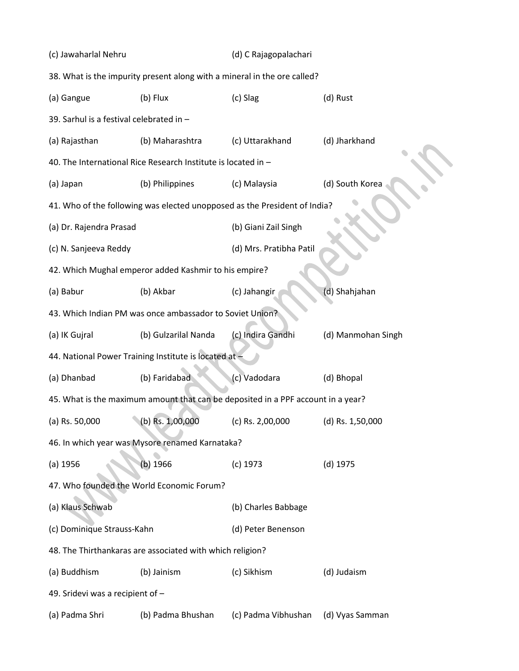| (c) Jawaharlal Nehru                     |                                                                                  | (d) C Rajagopalachari   |                    |  |
|------------------------------------------|----------------------------------------------------------------------------------|-------------------------|--------------------|--|
|                                          | 38. What is the impurity present along with a mineral in the ore called?         |                         |                    |  |
| (a) Gangue                               | (b) Flux                                                                         | (c) Slag                | (d) Rust           |  |
| 39. Sarhul is a festival celebrated in - |                                                                                  |                         |                    |  |
| (a) Rajasthan                            | (b) Maharashtra                                                                  | (c) Uttarakhand         | (d) Jharkhand      |  |
|                                          | 40. The International Rice Research Institute is located in -                    |                         |                    |  |
| (a) Japan                                | (b) Philippines                                                                  | (c) Malaysia            | (d) South Korea    |  |
|                                          | 41. Who of the following was elected unopposed as the President of India?        |                         |                    |  |
| (a) Dr. Rajendra Prasad                  |                                                                                  | (b) Giani Zail Singh    |                    |  |
| (c) N. Sanjeeva Reddy                    |                                                                                  | (d) Mrs. Pratibha Patil |                    |  |
|                                          | 42. Which Mughal emperor added Kashmir to his empire?                            |                         |                    |  |
| (a) Babur                                | (b) Akbar                                                                        | (c) Jahangir            | (d) Shahjahan      |  |
|                                          | 43. Which Indian PM was once ambassador to Soviet Union?                         |                         |                    |  |
| (a) IK Gujral                            | (b) Gulzarilal Nanda                                                             | (c) Indira Gandhi       | (d) Manmohan Singh |  |
|                                          | 44. National Power Training Institute is located at -                            |                         |                    |  |
| (a) Dhanbad                              | (b) Faridabad                                                                    | (c) Vadodara            | (d) Bhopal         |  |
|                                          | 45. What is the maximum amount that can be deposited in a PPF account in a year? |                         |                    |  |
| (a) Rs. 50,000                           | (b) Rs. 1,00,000                                                                 | (c) Rs. $2,00,000$      | (d) Rs. 1,50,000   |  |
|                                          | 46. In which year was Mysore renamed Karnataka?                                  |                         |                    |  |
| $(a)$ 1956                               | (b) 1966                                                                         | $(c)$ 1973              | $(d)$ 1975         |  |
|                                          | 47. Who founded the World Economic Forum?                                        |                         |                    |  |
| (a) Klaus Schwab                         |                                                                                  | (b) Charles Babbage     |                    |  |
| (c) Dominique Strauss-Kahn               |                                                                                  | (d) Peter Benenson      |                    |  |
|                                          | 48. The Thirthankaras are associated with which religion?                        |                         |                    |  |
| (a) Buddhism                             | (b) Jainism                                                                      | (c) Sikhism             | (d) Judaism        |  |
| 49. Sridevi was a recipient of -         |                                                                                  |                         |                    |  |
| (a) Padma Shri                           | (b) Padma Bhushan                                                                | (c) Padma Vibhushan     | (d) Vyas Samman    |  |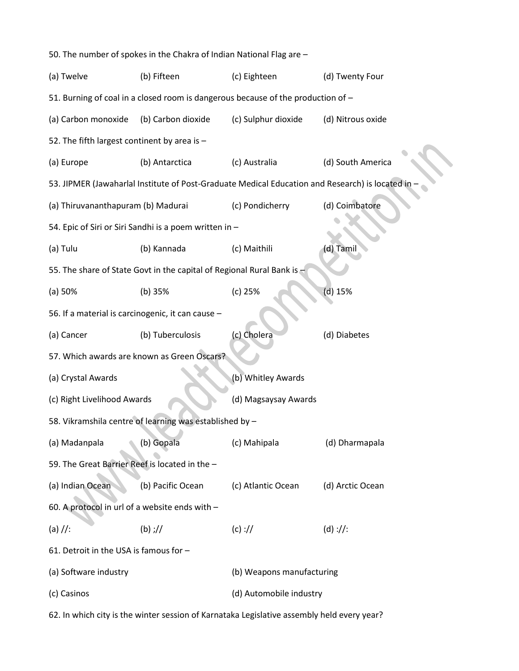50. The number of spokes in the Chakra of Indian National Flag are – (a) Twelve (b) Fifteen (c) Eighteen (d) Twenty Four 51. Burning of coal in a closed room is dangerous because of the production of – (a) Carbon monoxide (b) Carbon dioxide (c) Sulphur dioxide (d) Nitrous oxide 52. The fifth largest continent by area is – (a) Europe (b) Antarctica (c) Australia (d) South America 53. JIPMER (Jawaharlal Institute of Post-Graduate Medical Education and Research) is located in – (a) Thiruvananthapuram (b) Madurai (c) Pondicherry (d) Coimbatore 54. Epic of Siri or Siri Sandhi is a poem written in – (a) Tulu (b) Kannada (c) Maithili (d) Tamil 55. The share of State Govt in the capital of Regional Rural Bank is -(a) 50% (b) 35% (c) 25% (d) 15% 56. If a material is carcinogenic, it can cause – (a) Cancer (b) Tuberculosis (c) Cholera (d) Diabetes 57. Which awards are known as Green Oscars? (a) Crystal Awards (b) Whitley Awards (c) Right Livelihood Awards (d) Magsaysay Awards 58. Vikramshila centre of learning was established by – (a) Madanpala (b) Gopala (c) Mahipala (d) Dharmapala 59. The Great Barrier Reef is located in the – (a) Indian Ocean (b) Pacific Ocean (c) Atlantic Ocean (d) Arctic Ocean 60. A protocol in url of a website ends with – (a) //: (b) ;// (c) :// (d) ://: 61. Detroit in the USA is famous for – (a) Software industry (b) Weapons manufacturing (c) Casinos (d) Automobile industry

62. In which city is the winter session of Karnataka Legislative assembly held every year?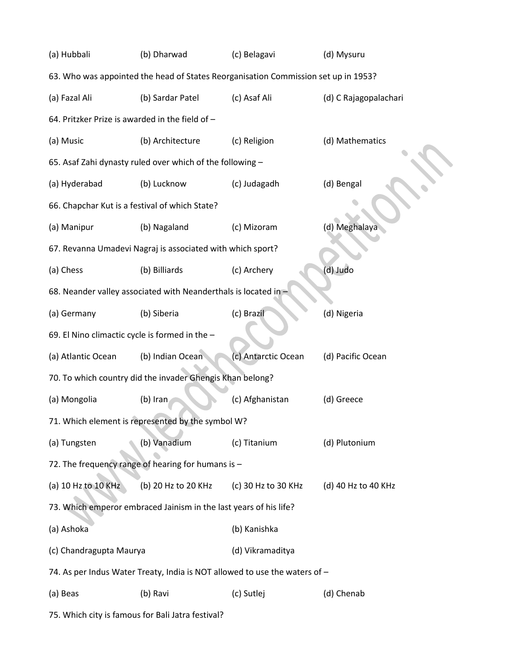| (a) Hubbali                                                                        | (b) Dharwad<br>(c) Belagavi                                                |                     | (d) Mysuru            |  |  |  |  |
|------------------------------------------------------------------------------------|----------------------------------------------------------------------------|---------------------|-----------------------|--|--|--|--|
| 63. Who was appointed the head of States Reorganisation Commission set up in 1953? |                                                                            |                     |                       |  |  |  |  |
| (a) Fazal Ali                                                                      | (b) Sardar Patel                                                           | (c) Asaf Ali        | (d) C Rajagopalachari |  |  |  |  |
| 64. Pritzker Prize is awarded in the field of -                                    |                                                                            |                     |                       |  |  |  |  |
| (a) Music                                                                          | (b) Architecture                                                           | (c) Religion        | (d) Mathematics       |  |  |  |  |
|                                                                                    | 65. Asaf Zahi dynasty ruled over which of the following -                  |                     |                       |  |  |  |  |
| (a) Hyderabad                                                                      | (b) Lucknow                                                                | (c) Judagadh        | (d) Bengal            |  |  |  |  |
| 66. Chapchar Kut is a festival of which State?                                     |                                                                            |                     |                       |  |  |  |  |
| (a) Manipur                                                                        | (b) Nagaland                                                               | (c) Mizoram         | (d) Meghalaya         |  |  |  |  |
|                                                                                    | 67. Revanna Umadevi Nagraj is associated with which sport?                 |                     |                       |  |  |  |  |
| (a) Chess                                                                          | (b) Billiards                                                              | (c) Archery         | (d) Judo              |  |  |  |  |
|                                                                                    | 68. Neander valley associated with Neanderthals is located in              |                     |                       |  |  |  |  |
| (a) Germany                                                                        | (b) Siberia                                                                | (c) Brazil          | (d) Nigeria           |  |  |  |  |
| 69. El Nino climactic cycle is formed in the -                                     |                                                                            |                     |                       |  |  |  |  |
| (a) Atlantic Ocean                                                                 | (b) Indian Ocean                                                           | (c) Antarctic Ocean | (d) Pacific Ocean     |  |  |  |  |
|                                                                                    | 70. To which country did the invader Ghengis Khan belong?                  |                     |                       |  |  |  |  |
| (a) Mongolia                                                                       | (b) Iran                                                                   | (c) Afghanistan     | (d) Greece            |  |  |  |  |
|                                                                                    | 71. Which element is represented by the symbol W?                          |                     |                       |  |  |  |  |
| (a) Tungsten                                                                       | (b) Vanadium                                                               | (c) Titanium        | (d) Plutonium         |  |  |  |  |
|                                                                                    | 72. The frequency range of hearing for humans is -                         |                     |                       |  |  |  |  |
| (a) 10 Hz to 10 KHz                                                                | (b) 20 Hz to 20 KHz                                                        | (c) 30 Hz to 30 KHz | (d) 40 Hz to 40 KHz   |  |  |  |  |
|                                                                                    | 73. Which emperor embraced Jainism in the last years of his life?          |                     |                       |  |  |  |  |
| (a) Ashoka                                                                         |                                                                            | (b) Kanishka        |                       |  |  |  |  |
| (c) Chandragupta Maurya                                                            |                                                                            | (d) Vikramaditya    |                       |  |  |  |  |
|                                                                                    | 74. As per Indus Water Treaty, India is NOT allowed to use the waters of - |                     |                       |  |  |  |  |
| (a) Beas                                                                           | (b) Ravi                                                                   | (c) Sutlej          | (d) Chenab            |  |  |  |  |
|                                                                                    |                                                                            |                     |                       |  |  |  |  |

<sup>75.</sup> Which city is famous for Bali Jatra festival?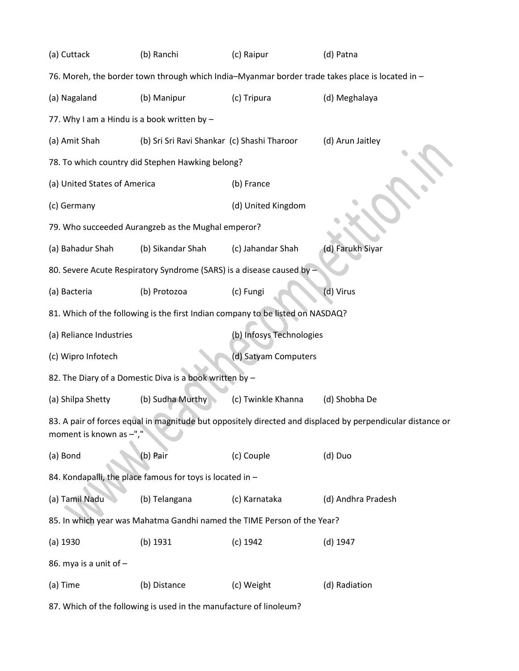| (a) Cuttack<br>(b) Ranchi                                                                       |                                                                       | (c) Raipur                                                                     | (d) Patna                                                                                                  |  |  |  |  |
|-------------------------------------------------------------------------------------------------|-----------------------------------------------------------------------|--------------------------------------------------------------------------------|------------------------------------------------------------------------------------------------------------|--|--|--|--|
| 76. Moreh, the border town through which India-Myanmar border trade takes place is located in - |                                                                       |                                                                                |                                                                                                            |  |  |  |  |
| (a) Nagaland                                                                                    | (b) Manipur                                                           | (c) Tripura                                                                    | (d) Meghalaya                                                                                              |  |  |  |  |
| 77. Why I am a Hindu is a book written by -                                                     |                                                                       |                                                                                |                                                                                                            |  |  |  |  |
| (a) Amit Shah                                                                                   | (b) Sri Sri Ravi Shankar (c) Shashi Tharoor                           |                                                                                | (d) Arun Jaitley                                                                                           |  |  |  |  |
|                                                                                                 | 78. To which country did Stephen Hawking belong?                      |                                                                                |                                                                                                            |  |  |  |  |
| (a) United States of America                                                                    |                                                                       | (b) France                                                                     |                                                                                                            |  |  |  |  |
| (c) Germany                                                                                     |                                                                       | (d) United Kingdom                                                             |                                                                                                            |  |  |  |  |
|                                                                                                 | 79. Who succeeded Aurangzeb as the Mughal emperor?                    |                                                                                |                                                                                                            |  |  |  |  |
| (a) Bahadur Shah                                                                                | (b) Sikandar Shah                                                     | (c) Jahandar Shah                                                              | (d) Farukh Siyar                                                                                           |  |  |  |  |
|                                                                                                 | 80. Severe Acute Respiratory Syndrome (SARS) is a disease caused by - |                                                                                |                                                                                                            |  |  |  |  |
| (a) Bacteria                                                                                    | (b) Protozoa                                                          | (c) Fungi                                                                      | (d) Virus                                                                                                  |  |  |  |  |
|                                                                                                 |                                                                       | 81. Which of the following is the first Indian company to be listed on NASDAQ? |                                                                                                            |  |  |  |  |
| (a) Reliance Industries                                                                         |                                                                       | (b) Infosys Technologies                                                       |                                                                                                            |  |  |  |  |
| (c) Wipro Infotech                                                                              |                                                                       | (d) Satyam Computers                                                           |                                                                                                            |  |  |  |  |
|                                                                                                 | 82. The Diary of a Domestic Diva is a book written by -               |                                                                                |                                                                                                            |  |  |  |  |
| (a) Shilpa Shetty                                                                               | (b) Sudha Murthy                                                      | (c) Twinkle Khanna                                                             | (d) Shobha De                                                                                              |  |  |  |  |
| moment is known as -","                                                                         |                                                                       |                                                                                | 83. A pair of forces equal in magnitude but oppositely directed and displaced by perpendicular distance or |  |  |  |  |
| (a) Bond                                                                                        | (b) Pair                                                              | (c) Couple                                                                     | (d) Duo                                                                                                    |  |  |  |  |
|                                                                                                 | 84. Kondapalli, the place famous for toys is located in -             |                                                                                |                                                                                                            |  |  |  |  |
| (a) Tamil Nadu                                                                                  | (b) Telangana                                                         | (c) Karnataka                                                                  | (d) Andhra Pradesh                                                                                         |  |  |  |  |
|                                                                                                 |                                                                       | 85. In which year was Mahatma Gandhi named the TIME Person of the Year?        |                                                                                                            |  |  |  |  |
| $(a)$ 1930                                                                                      | (b) 1931                                                              | $(c)$ 1942                                                                     | $(d)$ 1947                                                                                                 |  |  |  |  |
| 86. mya is a unit of -                                                                          |                                                                       |                                                                                |                                                                                                            |  |  |  |  |
| (a) Time                                                                                        | (b) Distance                                                          | (c) Weight                                                                     | (d) Radiation                                                                                              |  |  |  |  |
| 87. Which of the following is used in the manufacture of linoleum?                              |                                                                       |                                                                                |                                                                                                            |  |  |  |  |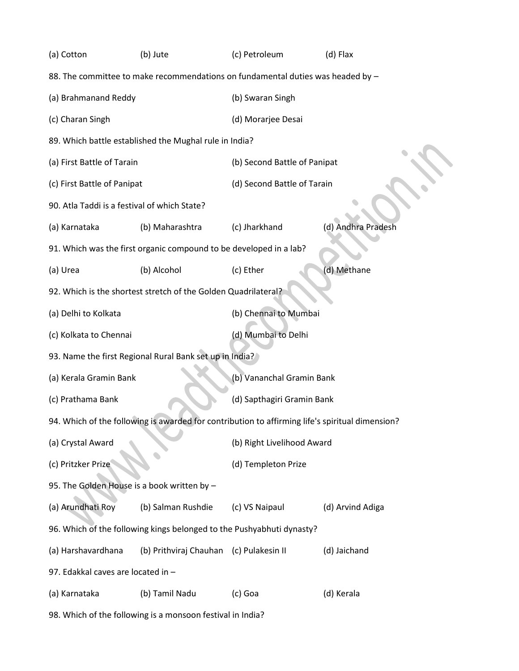| (a) Cotton                                   | (b) Jute                                                              | (c) Petroleum                                                                                   | (d) Flax           |  |  |
|----------------------------------------------|-----------------------------------------------------------------------|-------------------------------------------------------------------------------------------------|--------------------|--|--|
|                                              |                                                                       | 88. The committee to make recommendations on fundamental duties was headed by -                 |                    |  |  |
| (a) Brahmanand Reddy                         |                                                                       | (b) Swaran Singh                                                                                |                    |  |  |
| (c) Charan Singh                             |                                                                       | (d) Morarjee Desai                                                                              |                    |  |  |
|                                              | 89. Which battle established the Mughal rule in India?                |                                                                                                 |                    |  |  |
| (a) First Battle of Tarain                   |                                                                       | (b) Second Battle of Panipat                                                                    |                    |  |  |
| (c) First Battle of Panipat                  |                                                                       | (d) Second Battle of Tarain                                                                     |                    |  |  |
| 90. Atla Taddi is a festival of which State? |                                                                       |                                                                                                 |                    |  |  |
| (a) Karnataka                                | (b) Maharashtra                                                       | (c) Jharkhand                                                                                   | (d) Andhra Pradesh |  |  |
|                                              | 91. Which was the first organic compound to be developed in a lab?    |                                                                                                 |                    |  |  |
| (a) Urea                                     | (b) Alcohol                                                           | (c) Ether                                                                                       | (d) Methane        |  |  |
|                                              | 92. Which is the shortest stretch of the Golden Quadrilateral?        |                                                                                                 |                    |  |  |
| (a) Delhi to Kolkata                         |                                                                       | (b) Chennai to Mumbai                                                                           |                    |  |  |
| (c) Kolkata to Chennai                       |                                                                       | (d) Mumbai to Delhi                                                                             |                    |  |  |
|                                              | 93. Name the first Regional Rural Bank set up in India?               |                                                                                                 |                    |  |  |
| (a) Kerala Gramin Bank                       |                                                                       | (b) Vananchal Gramin Bank                                                                       |                    |  |  |
| (c) Prathama Bank                            |                                                                       | (d) Sapthagiri Gramin Bank                                                                      |                    |  |  |
|                                              |                                                                       | 94. Which of the following is awarded for contribution to affirming life's spiritual dimension? |                    |  |  |
| (a) Crystal Award                            |                                                                       | (b) Right Livelihood Award                                                                      |                    |  |  |
| (c) Pritzker Prize                           |                                                                       | (d) Templeton Prize                                                                             |                    |  |  |
| 95. The Golden House is a book written by -  |                                                                       |                                                                                                 |                    |  |  |
| (a) Arundhati Roy                            | (b) Salman Rushdie                                                    | (c) VS Naipaul                                                                                  | (d) Arvind Adiga   |  |  |
|                                              | 96. Which of the following kings belonged to the Pushyabhuti dynasty? |                                                                                                 |                    |  |  |
| (a) Harshavardhana                           | (b) Prithviraj Chauhan (c) Pulakesin II                               |                                                                                                 | (d) Jaichand       |  |  |
| 97. Edakkal caves are located in -           |                                                                       |                                                                                                 |                    |  |  |
| (a) Karnataka                                | (b) Tamil Nadu                                                        | (c) Goa                                                                                         | (d) Kerala         |  |  |
|                                              | 98. Which of the following is a monsoon festival in India?            |                                                                                                 |                    |  |  |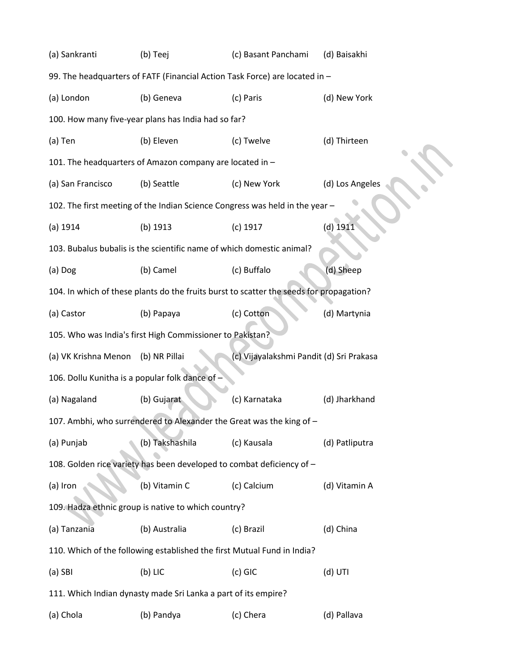| (b) Teej                                                                | (c) Basant Panchami                                                     | (d) Baisakhi                                                                                                                                                                                                                                                                                                                                                                                                                                       |
|-------------------------------------------------------------------------|-------------------------------------------------------------------------|----------------------------------------------------------------------------------------------------------------------------------------------------------------------------------------------------------------------------------------------------------------------------------------------------------------------------------------------------------------------------------------------------------------------------------------------------|
|                                                                         |                                                                         |                                                                                                                                                                                                                                                                                                                                                                                                                                                    |
| (b) Geneva                                                              | (c) Paris                                                               | (d) New York                                                                                                                                                                                                                                                                                                                                                                                                                                       |
|                                                                         |                                                                         |                                                                                                                                                                                                                                                                                                                                                                                                                                                    |
| (b) Eleven                                                              | (c) Twelve                                                              | (d) Thirteen                                                                                                                                                                                                                                                                                                                                                                                                                                       |
|                                                                         |                                                                         |                                                                                                                                                                                                                                                                                                                                                                                                                                                    |
| (b) Seattle                                                             | (c) New York                                                            | (d) Los Angeles                                                                                                                                                                                                                                                                                                                                                                                                                                    |
|                                                                         |                                                                         |                                                                                                                                                                                                                                                                                                                                                                                                                                                    |
| (b) 1913                                                                | $(c)$ 1917                                                              | $(d)$ 1911                                                                                                                                                                                                                                                                                                                                                                                                                                         |
|                                                                         |                                                                         |                                                                                                                                                                                                                                                                                                                                                                                                                                                    |
| (b) Camel                                                               | (c) Buffalo                                                             | (d) Sheep                                                                                                                                                                                                                                                                                                                                                                                                                                          |
|                                                                         |                                                                         |                                                                                                                                                                                                                                                                                                                                                                                                                                                    |
| (b) Papaya                                                              | (c) Cotton                                                              | (d) Martynia                                                                                                                                                                                                                                                                                                                                                                                                                                       |
| (a) Castor<br>105. Who was India's first High Commissioner to Pakistan? |                                                                         |                                                                                                                                                                                                                                                                                                                                                                                                                                                    |
|                                                                         |                                                                         |                                                                                                                                                                                                                                                                                                                                                                                                                                                    |
| (a) VK Krishna Menon<br>(b) NR Pillai                                   | (c) Vijayalakshmi Pandit (d) Sri Prakasa                                |                                                                                                                                                                                                                                                                                                                                                                                                                                                    |
| 106. Dollu Kunitha is a popular folk dance of -                         |                                                                         |                                                                                                                                                                                                                                                                                                                                                                                                                                                    |
| (b) Gujarat                                                             | (c) Karnataka                                                           | (d) Jharkhand                                                                                                                                                                                                                                                                                                                                                                                                                                      |
|                                                                         | 107. Ambhi, who surrendered to Alexander the Great was the king of -    |                                                                                                                                                                                                                                                                                                                                                                                                                                                    |
| (b) Takshashila                                                         | (c) Kausala                                                             | (d) Patliputra                                                                                                                                                                                                                                                                                                                                                                                                                                     |
|                                                                         | 108. Golden rice variety has been developed to combat deficiency of -   |                                                                                                                                                                                                                                                                                                                                                                                                                                                    |
| (b) Vitamin C                                                           | (c) Calcium                                                             | (d) Vitamin A                                                                                                                                                                                                                                                                                                                                                                                                                                      |
| 109. Hadza ethnic group is native to which country?                     |                                                                         |                                                                                                                                                                                                                                                                                                                                                                                                                                                    |
| (b) Australia                                                           | (c) Brazil                                                              | (d) China                                                                                                                                                                                                                                                                                                                                                                                                                                          |
|                                                                         | 110. Which of the following established the first Mutual Fund in India? |                                                                                                                                                                                                                                                                                                                                                                                                                                                    |
| $(b)$ LIC                                                               | (c) GIC                                                                 | (d) UTI                                                                                                                                                                                                                                                                                                                                                                                                                                            |
| 111. Which Indian dynasty made Sri Lanka a part of its empire?          |                                                                         |                                                                                                                                                                                                                                                                                                                                                                                                                                                    |
|                                                                         |                                                                         | 99. The headquarters of FATF (Financial Action Task Force) are located in -<br>100. How many five-year plans has India had so far?<br>101. The headquarters of Amazon company are located in -<br>102. The first meeting of the Indian Science Congress was held in the year -<br>103. Bubalus bubalis is the scientific name of which domestic animal?<br>104. In which of these plants do the fruits burst to scatter the seeds for propagation? |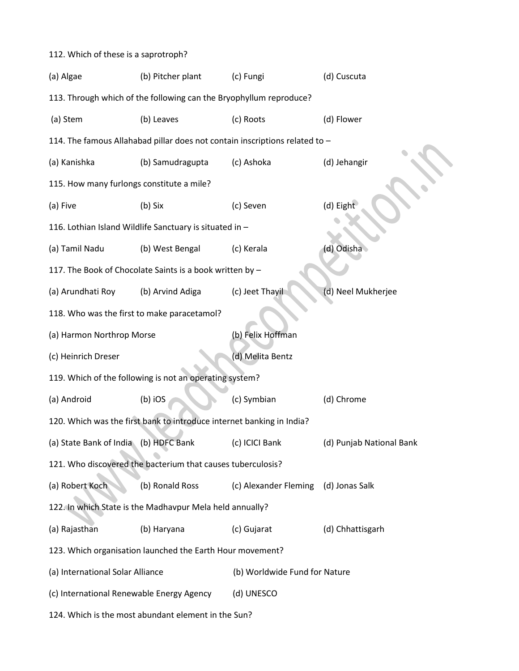## 112. Which of these is a saprotroph? (a) Algae (b) Pitcher plant (c) Fungi (d) Cuscuta 113. Through which of the following can the Bryophyllum reproduce? (a) Stem (b) Leaves (c) Roots (d) Flower 114. The famous Allahabad pillar does not contain inscriptions related to – (a) Kanishka (b) Samudragupta (c) Ashoka (d) Jehangir 115. How many furlongs constitute a mile? (a) Five (b) Six (c) Seven (d) Eight 116. Lothian Island Wildlife Sanctuary is situated in – (a) Tamil Nadu (b) West Bengal (c) Kerala (d) Odisha 117. The Book of Chocolate Saints is a book written by – (a) Arundhati Roy (b) Arvind Adiga (c) Jeet Thayil (d) Neel Mukherjee 118. Who was the first to make paracetamol? (a) Harmon Northrop Morse (b) Felix Hoffman (c) Heinrich Dreser (d) Melita Bentz 119. Which of the following is not an operating system? (a) Android (b) iOS (c) Symbian (d) Chrome 120. Which was the first bank to introduce internet banking in India? (a) State Bank of India (b) HDFC Bank (c) ICICI Bank (d) Punjab National Bank 121. Who discovered the bacterium that causes tuberculosis? (a) Robert Koch (b) Ronald Ross (c) Alexander Fleming (d) Jonas Salk 122. In which State is the Madhavpur Mela held annually? (a) Rajasthan (b) Haryana (c) Gujarat (d) Chhattisgarh 123. Which organisation launched the Earth Hour movement? (a) International Solar Alliance (b) Worldwide Fund for Nature (c) International Renewable Energy Agency (d) UNESCO 124. Which is the most abundant element in the Sun?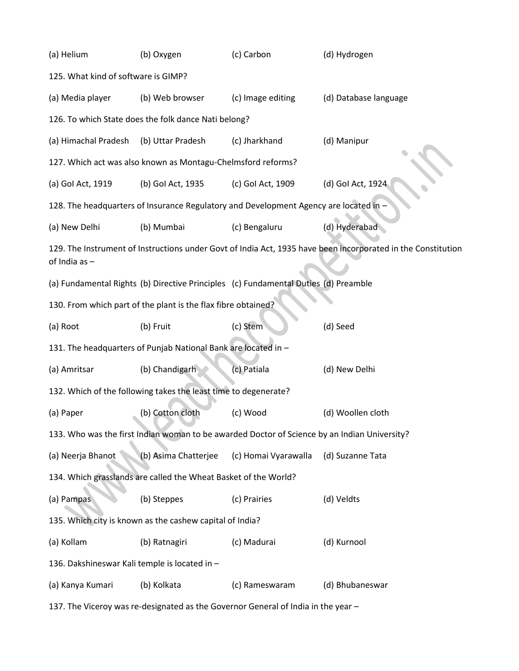| (a) Helium<br>(b) Oxygen                                                          |                                                                 | (c) Carbon                                                                                   | (d) Hydrogen                                                                                                 |  |  |  |  |
|-----------------------------------------------------------------------------------|-----------------------------------------------------------------|----------------------------------------------------------------------------------------------|--------------------------------------------------------------------------------------------------------------|--|--|--|--|
| 125. What kind of software is GIMP?                                               |                                                                 |                                                                                              |                                                                                                              |  |  |  |  |
| (a) Media player                                                                  | (b) Web browser                                                 | (c) Image editing                                                                            | (d) Database language                                                                                        |  |  |  |  |
| 126. To which State does the folk dance Nati belong?                              |                                                                 |                                                                                              |                                                                                                              |  |  |  |  |
| (a) Himachal Pradesh                                                              | (b) Uttar Pradesh                                               | (c) Jharkhand                                                                                | (d) Manipur                                                                                                  |  |  |  |  |
| 127. Which act was also known as Montagu-Chelmsford reforms?                      |                                                                 |                                                                                              |                                                                                                              |  |  |  |  |
| (a) Gol Act, 1919                                                                 | (b) Gol Act, 1935                                               | (c) Gol Act, 1909                                                                            | (d) Gol Act, 1924                                                                                            |  |  |  |  |
|                                                                                   |                                                                 | 128. The headquarters of Insurance Regulatory and Development Agency are located in -        |                                                                                                              |  |  |  |  |
| (a) New Delhi                                                                     | (b) Mumbai                                                      | (c) Bengaluru                                                                                | (d) Hyderabad                                                                                                |  |  |  |  |
| of India as $-$                                                                   |                                                                 |                                                                                              | 129. The Instrument of Instructions under Govt of India Act, 1935 have been incorporated in the Constitution |  |  |  |  |
|                                                                                   |                                                                 | (a) Fundamental Rights (b) Directive Principles (c) Fundamental Duties (d) Preamble          |                                                                                                              |  |  |  |  |
|                                                                                   | 130. From which part of the plant is the flax fibre obtained?   |                                                                                              |                                                                                                              |  |  |  |  |
| (a) Root                                                                          | (b) Fruit                                                       | (c) Stem                                                                                     | (d) Seed                                                                                                     |  |  |  |  |
|                                                                                   | 131. The headquarters of Punjab National Bank are located in -  |                                                                                              |                                                                                                              |  |  |  |  |
| (a) Amritsar                                                                      | (b) Chandigarh                                                  | (c) Patiala                                                                                  | (d) New Delhi                                                                                                |  |  |  |  |
|                                                                                   | 132. Which of the following takes the least time to degenerate? |                                                                                              |                                                                                                              |  |  |  |  |
| (a) Paper                                                                         | (b) Cotton cloth                                                | (c) Wood                                                                                     | (d) Woollen cloth                                                                                            |  |  |  |  |
|                                                                                   |                                                                 | 133. Who was the first Indian woman to be awarded Doctor of Science by an Indian University? |                                                                                                              |  |  |  |  |
| (a) Neerja Bhanot                                                                 | (b) Asima Chatterjee                                            | (c) Homai Vyarawalla                                                                         | (d) Suzanne Tata                                                                                             |  |  |  |  |
|                                                                                   | 134. Which grasslands are called the Wheat Basket of the World? |                                                                                              |                                                                                                              |  |  |  |  |
| (a) Pampas                                                                        | (b) Steppes                                                     | (c) Prairies                                                                                 | (d) Veldts                                                                                                   |  |  |  |  |
|                                                                                   | 135. Which city is known as the cashew capital of India?        |                                                                                              |                                                                                                              |  |  |  |  |
| (a) Kollam                                                                        | (b) Ratnagiri                                                   | (c) Madurai                                                                                  | (d) Kurnool                                                                                                  |  |  |  |  |
| 136. Dakshineswar Kali temple is located in -                                     |                                                                 |                                                                                              |                                                                                                              |  |  |  |  |
| (a) Kanya Kumari                                                                  | (b) Kolkata                                                     | (c) Rameswaram                                                                               | (d) Bhubaneswar                                                                                              |  |  |  |  |
| 137. The Viceroy was re-designated as the Governor General of India in the year - |                                                                 |                                                                                              |                                                                                                              |  |  |  |  |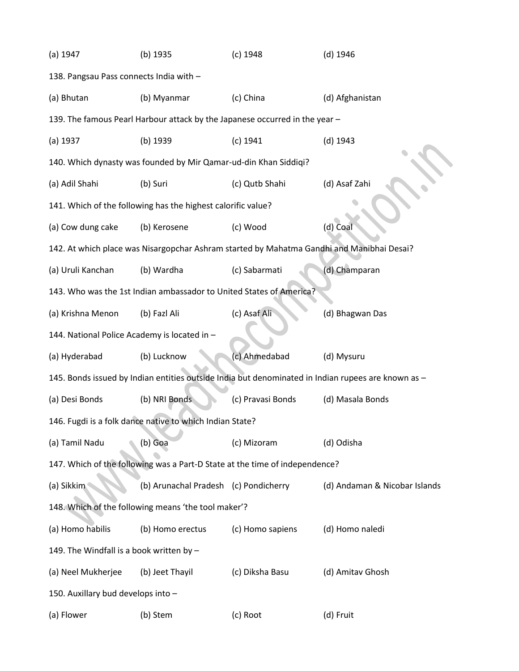| $(a)$ 1947                                   | (b) 1935                                                                    | $(c)$ 1948        | $(d)$ 1946                                                                                         |
|----------------------------------------------|-----------------------------------------------------------------------------|-------------------|----------------------------------------------------------------------------------------------------|
| 138. Pangsau Pass connects India with -      |                                                                             |                   |                                                                                                    |
| (a) Bhutan                                   | (b) Myanmar                                                                 | (c) China         | (d) Afghanistan                                                                                    |
|                                              | 139. The famous Pearl Harbour attack by the Japanese occurred in the year - |                   |                                                                                                    |
| $(a)$ 1937                                   | (b) 1939                                                                    | $(c)$ 1941        | $(d)$ 1943                                                                                         |
|                                              | 140. Which dynasty was founded by Mir Qamar-ud-din Khan Siddiqi?            |                   |                                                                                                    |
| (a) Adil Shahi                               | (b) Suri                                                                    | (c) Qutb Shahi    | (d) Asaf Zahi                                                                                      |
|                                              | 141. Which of the following has the highest calorific value?                |                   |                                                                                                    |
| (a) Cow dung cake                            | (b) Kerosene                                                                | (c) Wood          | (d) Coal                                                                                           |
|                                              |                                                                             |                   | 142. At which place was Nisargopchar Ashram started by Mahatma Gandhi and Manibhai Desai?          |
| (a) Uruli Kanchan                            | (b) Wardha                                                                  | (c) Sabarmati     | (d) Champaran                                                                                      |
|                                              | 143. Who was the 1st Indian ambassador to United States of America?         |                   |                                                                                                    |
| (a) Krishna Menon                            | (b) Fazl Ali                                                                | (c) Asaf Ali      | (d) Bhagwan Das                                                                                    |
| 144. National Police Academy is located in - |                                                                             |                   |                                                                                                    |
| (a) Hyderabad                                | (b) Lucknow                                                                 | (c) Ahmedabad     | (d) Mysuru                                                                                         |
|                                              |                                                                             |                   | 145. Bonds issued by Indian entities outside India but denominated in Indian rupees are known as - |
| (a) Desi Bonds                               | (b) NRI Bonds                                                               | (c) Pravasi Bonds | (d) Masala Bonds                                                                                   |
|                                              | 146. Fugdi is a folk dance native to which Indian State?                    |                   |                                                                                                    |
| (a) Tamil Nadu                               | (b) Goa                                                                     | (c) Mizoram       | (d) Odisha                                                                                         |
|                                              | 147. Which of the following was a Part-D State at the time of independence? |                   |                                                                                                    |
| (a) Sikkim                                   | (b) Arunachal Pradesh (c) Pondicherry                                       |                   | (d) Andaman & Nicobar Islands                                                                      |
|                                              | 148. Which of the following means 'the tool maker'?                         |                   |                                                                                                    |
| (a) Homo habilis                             | (b) Homo erectus                                                            | (c) Homo sapiens  | (d) Homo naledi                                                                                    |
| 149. The Windfall is a book written by -     |                                                                             |                   |                                                                                                    |
| (a) Neel Mukherjee                           | (b) Jeet Thayil                                                             | (c) Diksha Basu   | (d) Amitav Ghosh                                                                                   |
| 150. Auxillary bud develops into -           |                                                                             |                   |                                                                                                    |
| (a) Flower                                   | (b) Stem                                                                    | (c) Root          | (d) Fruit                                                                                          |
|                                              |                                                                             |                   |                                                                                                    |